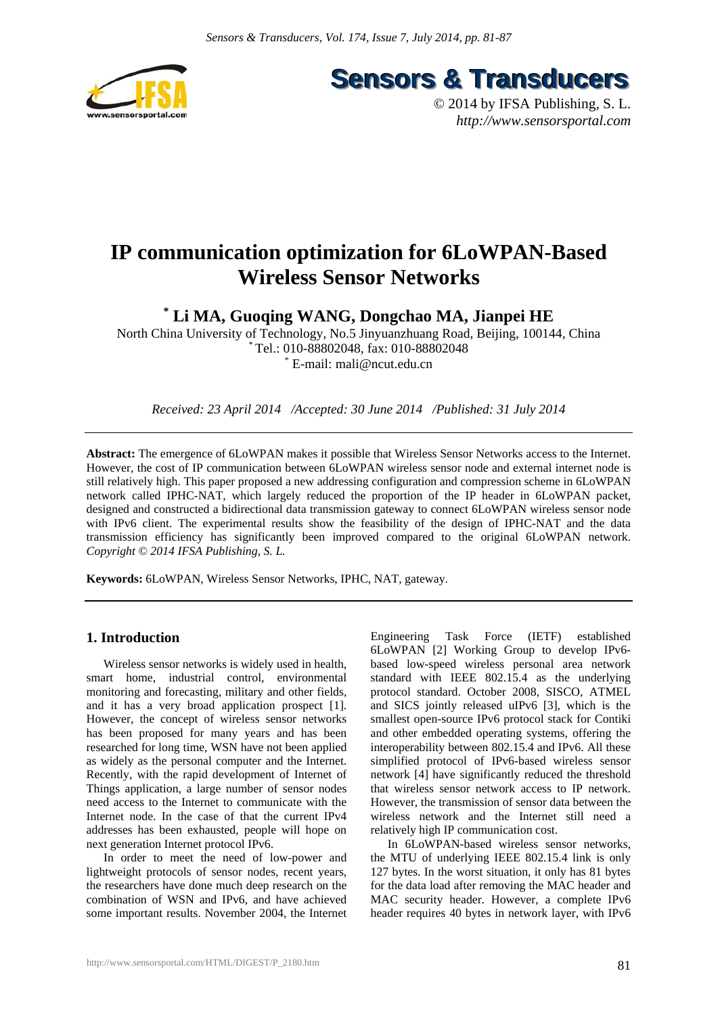

**Sensors & Transducers** 

© 2014 by IFSA Publishing, S. L. *http://www.sensorsportal.com*

# **IP communication optimization for 6LoWPAN-Based Wireless Sensor Networks**

**\* Li MA, Guoqing WANG, Dongchao MA, Jianpei HE** 

North China University of Technology, No.5 Jinyuanzhuang Road, Beijing, 100144, China \* Tel.: 010-88802048, fax: 010-88802048 \* E-mail: mali@ncut.edu.cn

*Received: 23 April 2014 /Accepted: 30 June 2014 /Published: 31 July 2014*

**Abstract:** The emergence of 6LoWPAN makes it possible that Wireless Sensor Networks access to the Internet. However, the cost of IP communication between 6LoWPAN wireless sensor node and external internet node is still relatively high. This paper proposed a new addressing configuration and compression scheme in 6LoWPAN network called IPHC-NAT, which largely reduced the proportion of the IP header in 6LoWPAN packet, designed and constructed a bidirectional data transmission gateway to connect 6LoWPAN wireless sensor node with IPv6 client. The experimental results show the feasibility of the design of IPHC-NAT and the data transmission efficiency has significantly been improved compared to the original 6LoWPAN network. *Copyright © 2014 IFSA Publishing, S. L.*

**Keywords:** 6LoWPAN, Wireless Sensor Networks, IPHC, NAT, gateway.

# **1. Introduction**

Wireless sensor networks is widely used in health, smart home, industrial control, environmental monitoring and forecasting, military and other fields, and it has a very broad application prospect [1]. However, the concept of wireless sensor networks has been proposed for many years and has been researched for long time, WSN have not been applied as widely as the personal computer and the Internet. Recently, with the rapid development of Internet of Things application, a large number of sensor nodes need access to the Internet to communicate with the Internet node. In the case of that the current IPv4 addresses has been exhausted, people will hope on next generation Internet protocol IPv6.

In order to meet the need of low-power and lightweight protocols of sensor nodes, recent years, the researchers have done much deep research on the combination of WSN and IPv6, and have achieved some important results. November 2004, the Internet

Engineering Task Force (IETF) established 6LoWPAN [2] Working Group to develop IPv6 based low-speed wireless personal area network standard with IEEE 802.15.4 as the underlying protocol standard. October 2008, SISCO, ATMEL and SICS jointly released uIPv6 [3], which is the smallest open-source IPv6 protocol stack for Contiki and other embedded operating systems, offering the interoperability between 802.15.4 and IPv6. All these simplified protocol of IPv6-based wireless sensor network [4] have significantly reduced the threshold that wireless sensor network access to IP network. However, the transmission of sensor data between the wireless network and the Internet still need a relatively high IP communication cost.

In 6LoWPAN-based wireless sensor networks, the MTU of underlying IEEE 802.15.4 link is only 127 bytes. In the worst situation, it only has 81 bytes for the data load after removing the MAC header and MAC security header. However, a complete IPv6 header requires 40 bytes in network layer, with IPv6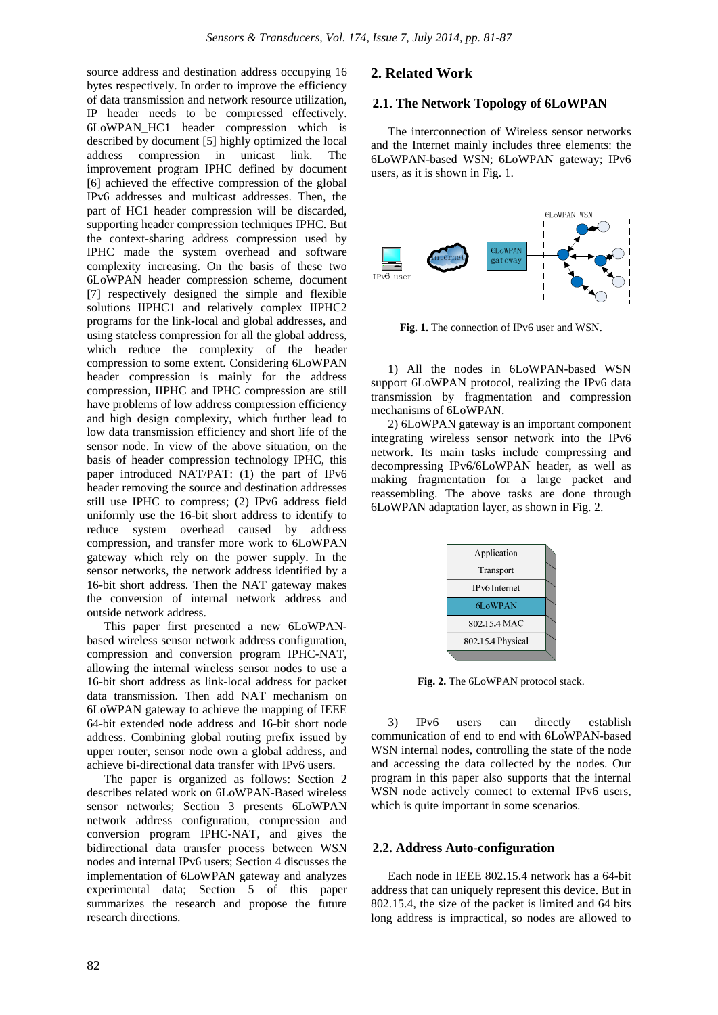source address and destination address occupying 16 bytes respectively. In order to improve the efficiency of data transmission and network resource utilization, IP header needs to be compressed effectively. 6LoWPAN\_HC1 header compression which is described by document [5] highly optimized the local address compression in unicast link. The improvement program IPHC defined by document [6] achieved the effective compression of the global IPv6 addresses and multicast addresses. Then, the part of HC1 header compression will be discarded, supporting header compression techniques IPHC. But the context-sharing address compression used by IPHC made the system overhead and software complexity increasing. On the basis of these two 6LoWPAN header compression scheme, document [7] respectively designed the simple and flexible solutions IIPHC1 and relatively complex IIPHC2 programs for the link-local and global addresses, and using stateless compression for all the global address, which reduce the complexity of the header compression to some extent. Considering 6LoWPAN header compression is mainly for the address compression, IIPHC and IPHC compression are still have problems of low address compression efficiency and high design complexity, which further lead to low data transmission efficiency and short life of the sensor node. In view of the above situation, on the basis of header compression technology IPHC, this paper introduced NAT/PAT: (1) the part of IPv6 header removing the source and destination addresses still use IPHC to compress; (2) IPv6 address field uniformly use the 16-bit short address to identify to reduce system overhead caused by address compression, and transfer more work to 6LoWPAN gateway which rely on the power supply. In the sensor networks, the network address identified by a 16-bit short address. Then the NAT gateway makes the conversion of internal network address and outside network address.

This paper first presented a new 6LoWPANbased wireless sensor network address configuration, compression and conversion program IPHC-NAT, allowing the internal wireless sensor nodes to use a 16-bit short address as link-local address for packet data transmission. Then add NAT mechanism on 6LoWPAN gateway to achieve the mapping of IEEE 64-bit extended node address and 16-bit short node address. Combining global routing prefix issued by upper router, sensor node own a global address, and achieve bi-directional data transfer with IPv6 users.

The paper is organized as follows: Section 2 describes related work on 6LoWPAN-Based wireless sensor networks; Section 3 presents 6LoWPAN network address configuration, compression and conversion program IPHC-NAT, and gives the bidirectional data transfer process between WSN nodes and internal IPv6 users; Section 4 discusses the implementation of 6LoWPAN gateway and analyzes experimental data; Section 5 of this paper summarizes the research and propose the future research directions.

## **2. Related Work**

## **2.1. The Network Topology of 6LoWPAN**

The interconnection of Wireless sensor networks and the Internet mainly includes three elements: the 6LoWPAN-based WSN; 6LoWPAN gateway; IPv6 users, as it is shown in Fig. 1.



**Fig. 1.** The connection of IPv6 user and WSN.

1) All the nodes in 6LoWPAN-based WSN support 6LoWPAN protocol, realizing the IPv6 data transmission by fragmentation and compression mechanisms of 6LoWPAN.

2) 6LoWPAN gateway is an important component integrating wireless sensor network into the IPv6 network. Its main tasks include compressing and decompressing IPv6/6LoWPAN header, as well as making fragmentation for a large packet and reassembling. The above tasks are done through 6LoWPAN adaptation layer, as shown in Fig. 2.

| Application           |  |
|-----------------------|--|
| Transport             |  |
| <b>IP</b> v6 Internet |  |
| 6LoWPAN               |  |
| 802.15.4 MAC          |  |
| 802.15.4 Physical     |  |
|                       |  |

**Fig. 2.** The 6LoWPAN protocol stack.

3) IPv6 users can directly establish communication of end to end with 6LoWPAN-based WSN internal nodes, controlling the state of the node and accessing the data collected by the nodes. Our program in this paper also supports that the internal WSN node actively connect to external IPv6 users, which is quite important in some scenarios.

#### **2.2. Address Auto-configuration**

Each node in IEEE 802.15.4 network has a 64-bit address that can uniquely represent this device. But in 802.15.4, the size of the packet is limited and 64 bits long address is impractical, so nodes are allowed to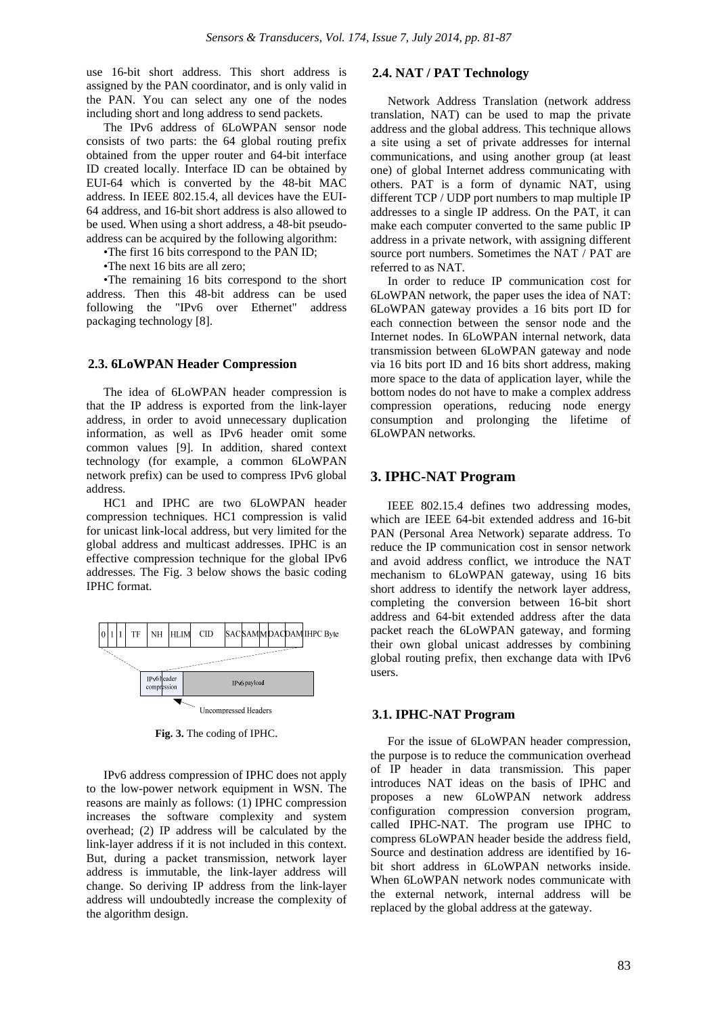use 16-bit short address. This short address is assigned by the PAN coordinator, and is only valid in the PAN. You can select any one of the nodes including short and long address to send packets.

The IPv6 address of 6LoWPAN sensor node consists of two parts: the 64 global routing prefix obtained from the upper router and 64-bit interface ID created locally. Interface ID can be obtained by EUI-64 which is converted by the 48-bit MAC address. In IEEE 802.15.4, all devices have the EUI-64 address, and 16-bit short address is also allowed to be used. When using a short address, a 48-bit pseudoaddress can be acquired by the following algorithm:

•The first 16 bits correspond to the PAN ID;

•The next 16 bits are all zero;

•The remaining 16 bits correspond to the short address. Then this 48-bit address can be used following the "IPv6 over Ethernet" address packaging technology [8].

#### **2.3. 6LoWPAN Header Compression**

The idea of 6LoWPAN header compression is that the IP address is exported from the link-layer address, in order to avoid unnecessary duplication information, as well as IPv6 header omit some common values [9]. In addition, shared context technology (for example, a common 6LoWPAN network prefix) can be used to compress IPv6 global address.

HC1 and IPHC are two 6LoWPAN header compression techniques. HC1 compression is valid for unicast link-local address, but very limited for the global address and multicast addresses. IPHC is an effective compression technique for the global IPv6 addresses. The Fig. 3 below shows the basic coding IPHC format.



**Fig. 3.** The coding of IPHC.

IPv6 address compression of IPHC does not apply to the low-power network equipment in WSN. The reasons are mainly as follows: (1) IPHC compression increases the software complexity and system overhead; (2) IP address will be calculated by the link-layer address if it is not included in this context. But, during a packet transmission, network layer address is immutable, the link-layer address will change. So deriving IP address from the link-layer address will undoubtedly increase the complexity of the algorithm design.

# **2.4. NAT / PAT Technology**

Network Address Translation (network address translation, NAT) can be used to map the private address and the global address. This technique allows a site using a set of private addresses for internal communications, and using another group (at least one) of global Internet address communicating with others. PAT is a form of dynamic NAT, using different TCP / UDP port numbers to map multiple IP addresses to a single IP address. On the PAT, it can make each computer converted to the same public IP address in a private network, with assigning different source port numbers. Sometimes the NAT / PAT are referred to as NAT.

In order to reduce IP communication cost for 6LoWPAN network, the paper uses the idea of NAT: 6LoWPAN gateway provides a 16 bits port ID for each connection between the sensor node and the Internet nodes. In 6LoWPAN internal network, data transmission between 6LoWPAN gateway and node via 16 bits port ID and 16 bits short address, making more space to the data of application layer, while the bottom nodes do not have to make a complex address compression operations, reducing node energy consumption and prolonging the lifetime of 6LoWPAN networks.

## **3. IPHC-NAT Program**

IEEE 802.15.4 defines two addressing modes, which are IEEE 64-bit extended address and 16-bit PAN (Personal Area Network) separate address. To reduce the IP communication cost in sensor network and avoid address conflict, we introduce the NAT mechanism to 6LoWPAN gateway, using 16 bits short address to identify the network layer address, completing the conversion between 16-bit short address and 64-bit extended address after the data packet reach the 6LoWPAN gateway, and forming their own global unicast addresses by combining global routing prefix, then exchange data with IPv6 users.

#### **3.1. IPHC-NAT Program**

For the issue of 6LoWPAN header compression, the purpose is to reduce the communication overhead of IP header in data transmission. This paper introduces NAT ideas on the basis of IPHC and proposes a new 6LoWPAN network address configuration compression conversion program, called IPHC-NAT. The program use IPHC to compress 6LoWPAN header beside the address field, Source and destination address are identified by 16 bit short address in 6LoWPAN networks inside. When 6LoWPAN network nodes communicate with the external network, internal address will be replaced by the global address at the gateway.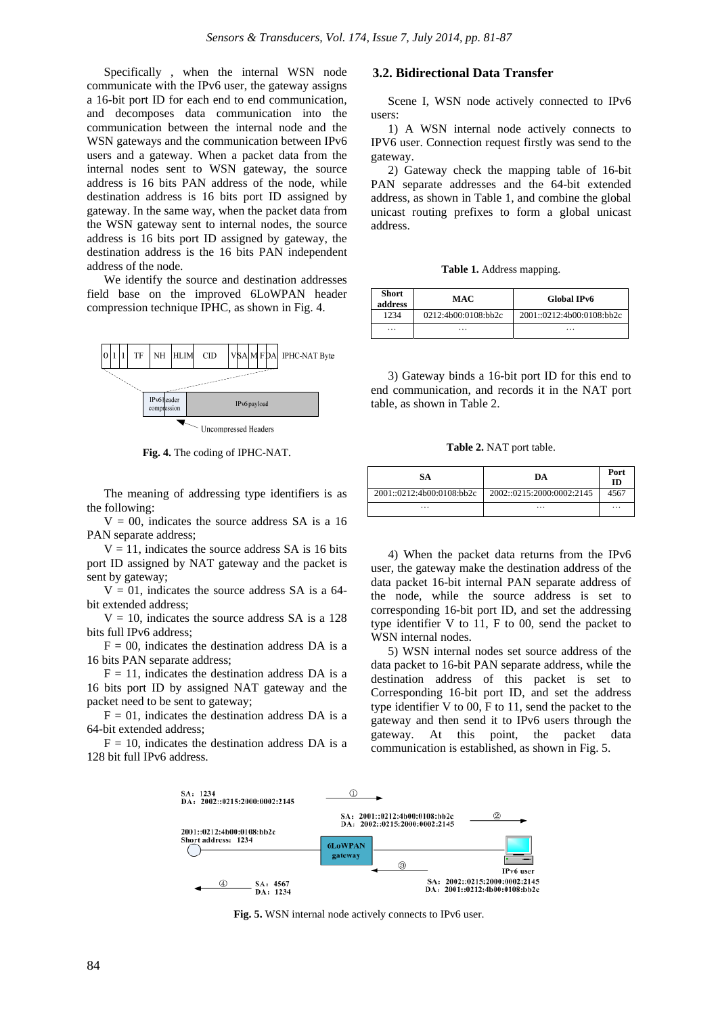Specifically , when the internal WSN node communicate with the IPv6 user, the gateway assigns a 16-bit port ID for each end to end communication, and decomposes data communication into the communication between the internal node and the WSN gateways and the communication between IPv6 users and a gateway. When a packet data from the internal nodes sent to WSN gateway, the source address is 16 bits PAN address of the node, while destination address is 16 bits port ID assigned by gateway. In the same way, when the packet data from the WSN gateway sent to internal nodes, the source address is 16 bits port ID assigned by gateway, the destination address is the 16 bits PAN independent address of the node.

We identify the source and destination addresses field base on the improved 6LoWPAN header compression technique IPHC, as shown in Fig. 4.



**Fig. 4.** The coding of IPHC-NAT.

The meaning of addressing type identifiers is as the following:

 $V = 00$ , indicates the source address SA is a 16 PAN separate address;

 $V = 11$ , indicates the source address SA is 16 bits port ID assigned by NAT gateway and the packet is sent by gateway;

 $V = 01$ , indicates the source address SA is a 64bit extended address;

 $V = 10$ , indicates the source address SA is a 128 bits full IPv6 address;

 $F = 00$ , indicates the destination address DA is a 16 bits PAN separate address;

 $F = 11$ , indicates the destination address DA is a 16 bits port ID by assigned NAT gateway and the packet need to be sent to gateway;

 $F = 01$ , indicates the destination address DA is a 64-bit extended address;

 $F = 10$ , indicates the destination address DA is a 128 bit full IPv6 address.

# **3.2. Bidirectional Data Transfer**

Scene I, WSN node actively connected to IPv6 users:

1) A WSN internal node actively connects to IPV6 user. Connection request firstly was send to the gateway.

2) Gateway check the mapping table of 16-bit PAN separate addresses and the 64-bit extended address, as shown in Table 1, and combine the global unicast routing prefixes to form a global unicast address.

**Table 1.** Address mapping.

| <b>Short</b><br>address | MAC                 | <b>Global IPv6</b>        |
|-------------------------|---------------------|---------------------------|
| 1234                    | 0212:4b00:0108:bb2c | 2001::0212:4b00:0108:bh2c |
| .                       | .                   | .                         |

3) Gateway binds a 16-bit port ID for this end to end communication, and records it in the NAT port table, as shown in Table 2.

**Table 2.** NAT port table.

| SА                        | DА                        | Port<br>ID |
|---------------------------|---------------------------|------------|
| 2001::0212:4b00:0108:bb2c | 2002::0215:2000:0002:2145 | 4567       |
| .                         | $\cdots$                  | $\cdots$   |

4) When the packet data returns from the IPv6 user, the gateway make the destination address of the data packet 16-bit internal PAN separate address of the node, while the source address is set to corresponding 16-bit port ID, and set the addressing type identifier V to 11, F to 00, send the packet to WSN internal nodes.

5) WSN internal nodes set source address of the data packet to 16-bit PAN separate address, while the destination address of this packet is set to Corresponding 16-bit port ID, and set the address type identifier V to 00, F to 11, send the packet to the gateway and then send it to IPv6 users through the gateway. At this point, the packet data communication is established, as shown in Fig. 5.



**Fig. 5.** WSN internal node actively connects to IPv6 user.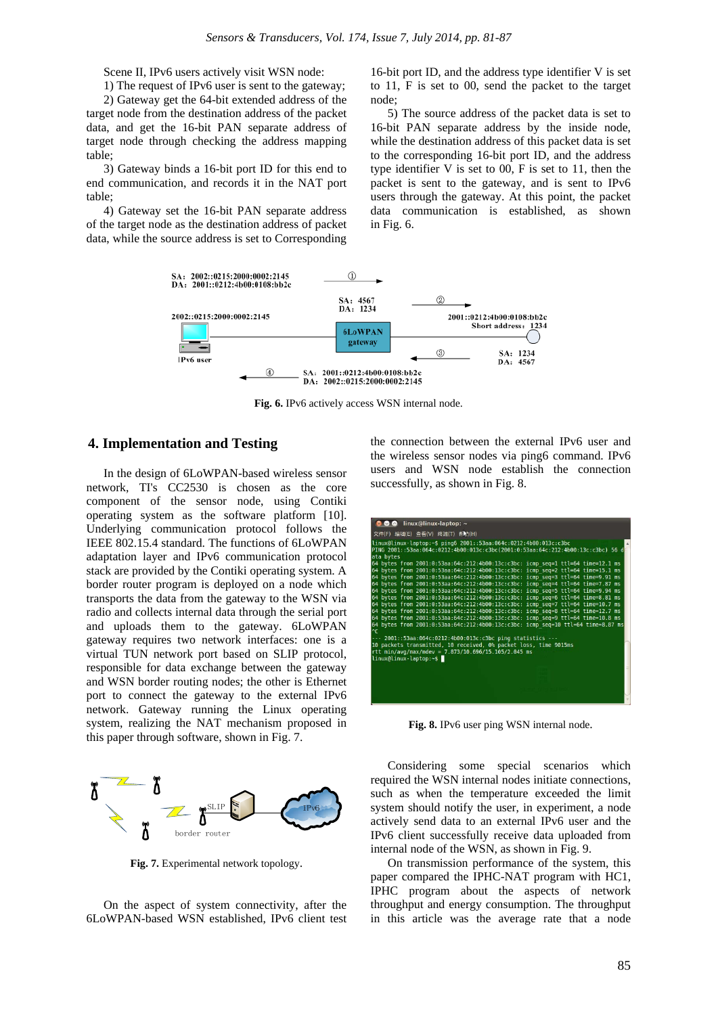Scene II, IPv6 users actively visit WSN node:

1) The request of IPv6 user is sent to the gateway;

2) Gateway get the 64-bit extended address of the target node from the destination address of the packet data, and get the 16-bit PAN separate address of target node through checking the address mapping table;

3) Gateway binds a 16-bit port ID for this end to end communication, and records it in the NAT port table;

4) Gateway set the 16-bit PAN separate address of the target node as the destination address of packet data, while the source address is set to Corresponding

16-bit port ID, and the address type identifier V is set to 11, F is set to 00, send the packet to the target node;

5) The source address of the packet data is set to 16-bit PAN separate address by the inside node, while the destination address of this packet data is set to the corresponding 16-bit port ID, and the address type identifier V is set to 00, F is set to 11, then the packet is sent to the gateway, and is sent to IPv6 users through the gateway. At this point, the packet data communication is established, as shown in Fig. 6.



**Fig. 6.** IPv6 actively access WSN internal node.

### **4. Implementation and Testing**

In the design of 6LoWPAN-based wireless sensor network, TI's CC2530 is chosen as the core component of the sensor node, using Contiki operating system as the software platform [10]. Underlying communication protocol follows the IEEE 802.15.4 standard. The functions of 6LoWPAN adaptation layer and IPv6 communication protocol stack are provided by the Contiki operating system. A border router program is deployed on a node which transports the data from the gateway to the WSN via radio and collects internal data through the serial port and uploads them to the gateway. 6LoWPAN gateway requires two network interfaces: one is a virtual TUN network port based on SLIP protocol, responsible for data exchange between the gateway and WSN border routing nodes; the other is Ethernet port to connect the gateway to the external IPv6 network. Gateway running the Linux operating system, realizing the NAT mechanism proposed in this paper through software, shown in Fig. 7.



**Fig. 7.** Experimental network topology.

On the aspect of system connectivity, after the 6LoWPAN-based WSN established, IPv6 client test the connection between the external IPv6 user and the wireless sensor nodes via ping6 command. IPv6 users and WSN node establish the connection successfully, as shown in Fig. 8.

| $\bullet$ linux@linux-laptop: $\sim$                                                                                                                               |
|--------------------------------------------------------------------------------------------------------------------------------------------------------------------|
|                                                                                                                                                                    |
| 文件(F) 编辑(E) 查看(V) 终端(T) 帮助(H)                                                                                                                                      |
| linux@linux-laptop:~\$ pinq6 2001::53aa:064c:0212:4b00:013c:c3bc<br>$\Delta$                                                                                       |
| PING 2001::53aa:064c:0212:4b00:013c:c3bc(2001:0:53aa:64c:212:4b00:13c:c3bc) 56 d                                                                                   |
| ata bytes                                                                                                                                                          |
| 64 bytes from 2001:0:53aa:64c:212:4b00:13c:c3bc: icmp seq=1 ttl=64 time=12.1 ms                                                                                    |
| 64 bytes from 2001:0:53aa:64c:212:4b00:13c:c3bc: icmp seq=2 ttl=64 time=15.1 ms                                                                                    |
| 64 bytes from 2001:0:53aa:64c:212:4b00:13c:c3bc: icmp seq=3 ttl=64 time=9.91 ms                                                                                    |
| 64 bytes from 2001:0:53aa:64c:212:4b00:13c:c3bc: icmp seq=4 ttl=64 time=7.87 ms                                                                                    |
| 64 bytes from 2001:0:53aa:64c:212:4b00:13c:c3bc: icmp seq=5 ttl=64 time=9.94 ms                                                                                    |
| 64 bytes from 2001:0:53aa:64c:212:4b00:13c:c3bc: icmp seq=6 ttl=64 time=8.81 ms                                                                                    |
| 64 bytes from 2001:0:53aa:64c:212:4b00:13c:c3bc: icmp seq=7 ttl=64 time=10.7 ms<br>64 bytes from 2001:0:53aa:64c:212:4b00:13c:c3bc: icmp seq=8 ttl=64 time=12.7 ms |
| 64 bytes from 2001:0:53aa:64c:212:4b00:13c:c3bc: icmp seq=9 ttl=64 time=10.8 ms                                                                                    |
| 64 bytes from 2001:0:53aa:64c:212:4b00:13c:c3bc: icmp seq=10 ttl=64 time=8.87 ms                                                                                   |
| l^c                                                                                                                                                                |
| --- 2001::53aa:064c:0212:4b00:013c:c3bc ping statistics ---                                                                                                        |
| 10 packets transmitted, 10 received, 0% packet loss, time 9015ms                                                                                                   |
| rtt min/avg/max/mdev = 7.873/10.696/15.105/2.045 ms                                                                                                                |
| linux@linux-laptop:~\$                                                                                                                                             |
|                                                                                                                                                                    |
|                                                                                                                                                                    |
|                                                                                                                                                                    |
|                                                                                                                                                                    |
|                                                                                                                                                                    |
|                                                                                                                                                                    |

**Fig. 8.** IPv6 user ping WSN internal node.

Considering some special scenarios which required the WSN internal nodes initiate connections, such as when the temperature exceeded the limit system should notify the user, in experiment, a node actively send data to an external IPv6 user and the IPv6 client successfully receive data uploaded from internal node of the WSN, as shown in Fig. 9.

On transmission performance of the system, this paper compared the IPHC-NAT program with HC1, IPHC program about the aspects of network throughput and energy consumption. The throughput in this article was the average rate that a node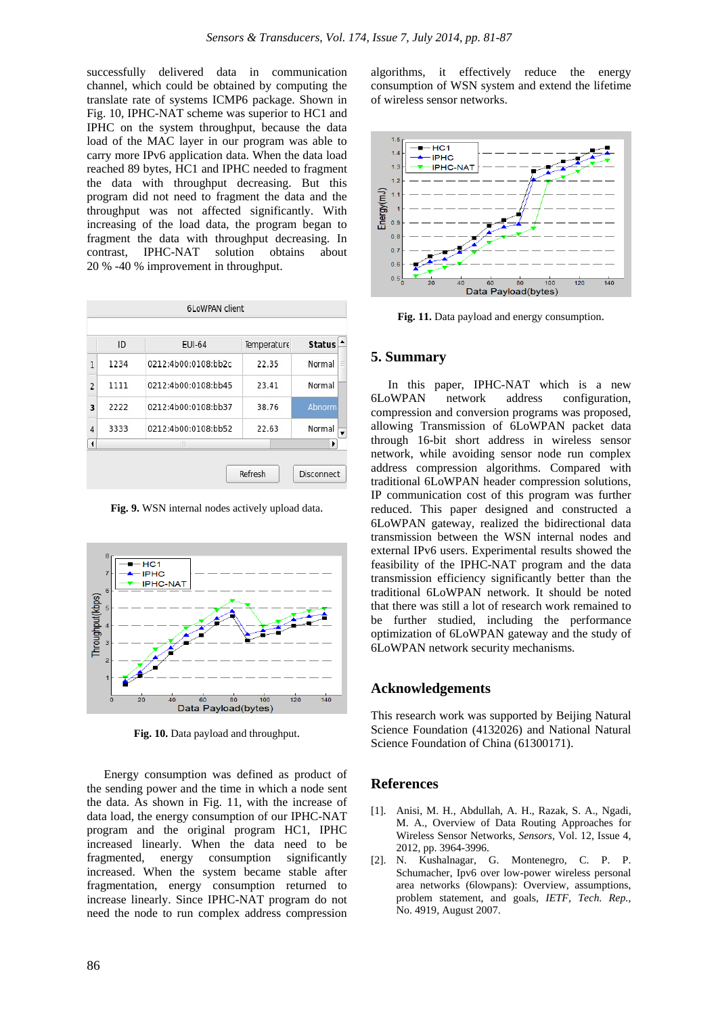successfully delivered data in communication channel, which could be obtained by computing the translate rate of systems ICMP6 package. Shown in Fig. 10, IPHC-NAT scheme was superior to HC1 and IPHC on the system throughput, because the data load of the MAC layer in our program was able to carry more IPv6 application data. When the data load reached 89 bytes, HC1 and IPHC needed to fragment the data with throughput decreasing. But this program did not need to fragment the data and the throughput was not affected significantly. With increasing of the load data, the program began to fragment the data with throughput decreasing. In contrast, IPHC-NAT solution obtains about contrast, IPHC-NAT solution obtains about 20 % -40 % improvement in throughput.

|                      | ID   | <b>EUI-64</b>       | Temperature | <b>Status</b> |  |
|----------------------|------|---------------------|-------------|---------------|--|
| 1                    | 1234 | 0212:4b00:0108:bb2c | 22.35       | Normal        |  |
| $\overline{2}$       | 1111 | 0212:4b00:0108:bb45 | 23.41       | Normal        |  |
| 3                    | 2222 | 0212:4b00:0108:bb37 | 38.76       | Abnorm        |  |
| 4                    | 3333 | 0212:4b00:0108:bb52 | 22.63       | Normal        |  |
| $\blacktriangleleft$ |      | Ш                   |             | ۱             |  |

**Fig. 9.** WSN internal nodes actively upload data.



**Fig. 10.** Data payload and throughput.

Energy consumption was defined as product of the sending power and the time in which a node sent the data. As shown in Fig. 11, with the increase of data load, the energy consumption of our IPHC-NAT program and the original program HC1, IPHC increased linearly. When the data need to be fragmented, energy consumption significantly increased. When the system became stable after fragmentation, energy consumption returned to increase linearly. Since IPHC-NAT program do not need the node to run complex address compression

algorithms, it effectively reduce the energy consumption of WSN system and extend the lifetime of wireless sensor networks.



**Fig. 11.** Data payload and energy consumption.

## **5. Summary**

In this paper, IPHC-NAT which is a new 6LoWPAN network address configuration, compression and conversion programs was proposed, allowing Transmission of 6LoWPAN packet data through 16-bit short address in wireless sensor network, while avoiding sensor node run complex address compression algorithms. Compared with traditional 6LoWPAN header compression solutions, IP communication cost of this program was further reduced. This paper designed and constructed a 6LoWPAN gateway, realized the bidirectional data transmission between the WSN internal nodes and external IPv6 users. Experimental results showed the feasibility of the IPHC-NAT program and the data transmission efficiency significantly better than the traditional 6LoWPAN network. It should be noted that there was still a lot of research work remained to be further studied, including the performance optimization of 6LoWPAN gateway and the study of 6LoWPAN network security mechanisms.

## **Acknowledgements**

This research work was supported by Beijing Natural Science Foundation (4132026) and National Natural Science Foundation of China (61300171).

## **References**

- [1]. Anisi, M. H., Abdullah, A. H., Razak, S. A., Ngadi, M. A., Overview of Data Routing Approaches for Wireless Sensor Networks, *Sensors,* Vol. 12, Issue 4, 2012, pp. 3964-3996.
- [2]. N. Kushalnagar, G. Montenegro, C. P. P. Schumacher, Ipv6 over low-power wireless personal area networks (6lowpans): Overview, assumptions, problem statement, and goals, *IETF, Tech*. *Rep.*, No. 4919, August 2007.